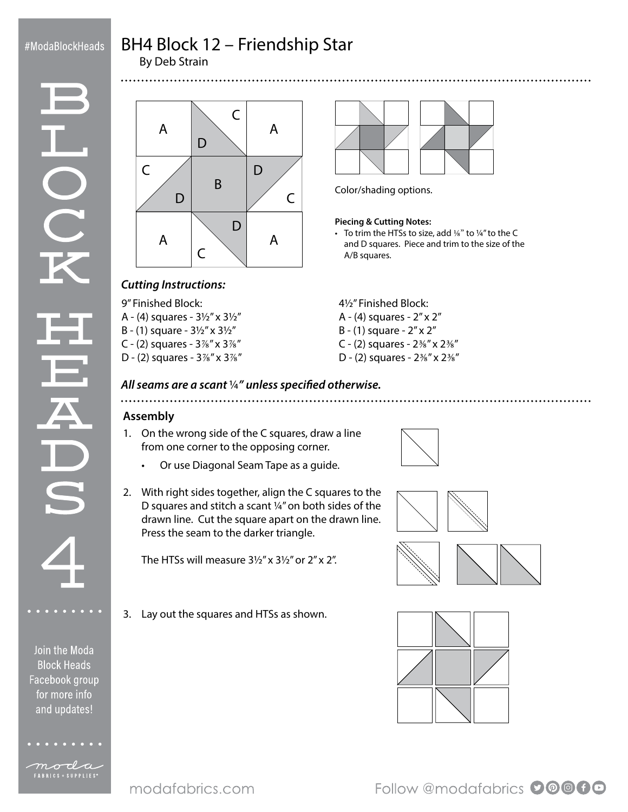### #ModaBlockHeads

UCC

# BH4 Block 12 – Friendship Star

By Deb Strain



Color/shading options.

#### **Piecing & Cutting Notes:**

• To trim the HTSs to size, add 1/8" to 1/4" to the C and D squares. Piece and trim to the size of the A/B squares.

# *Cutting Instructions:*

9" Finished Block:

- A (4) squares 3½" x 3½"
- B (1) square 3½" x 3½"
- C (2) squares  $3\%''$  x  $3\%''$
- D (2) squares 3⅞" x 3⅞"
- 4½" Finished Block:
- A (4) squares 2" x 2"
- B (1) square 2" x 2"
- C (2) squares 2⅜" x 2⅜"
- D (2) squares 2⅜" x 2⅜"

## *All seams are a scant* ¼*" unless specified otherwise.*

#### **Assembly**

- 1. On the wrong side of the C squares, draw a line from one corner to the opposing corner.
	- Or use Diagonal Seam Tape as a guide.
- 2. With right sides together, align the C squares to the D squares and stitch a scant ¼" on both sides of the drawn line. Cut the square apart on the drawn line. Press the seam to the darker triangle.

The HTSs will measure  $3\frac{1}{2}$ " x  $3\frac{1}{2}$ " or  $2$ " x  $2$ ".

3. Lay out the squares and HTSs as shown.







Follow @modafabrics 00000

- Join the Moda
- **Block Heads** for more info and updates!

moda FABRICS + SUPPLIES<sup>®</sup>

Facebook group